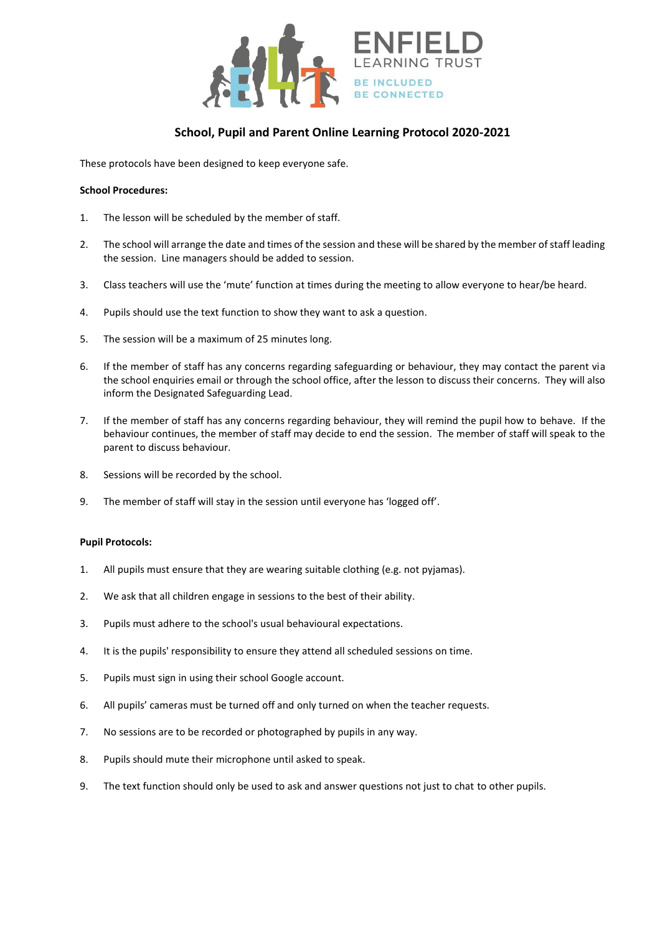

## **School, Pupil and Parent Online Learning Protocol 2020-2021**

These protocols have been designed to keep everyone safe.

## **School Procedures:**

- 1. The lesson will be scheduled by the member of staff.
- 2. The school will arrange the date and times of the session and these will be shared by the member of staff leading the session. Line managers should be added to session.
- 3. Class teachers will use the 'mute' function at times during the meeting to allow everyone to hear/be heard.
- 4. Pupils should use the text function to show they want to ask a question.
- 5. The session will be a maximum of 25 minutes long.
- 6. If the member of staff has any concerns regarding safeguarding or behaviour, they may contact the parent via the school enquiries email or through the school office, after the lesson to discuss their concerns. They will also inform the Designated Safeguarding Lead.
- 7. If the member of staff has any concerns regarding behaviour, they will remind the pupil how to behave. If the behaviour continues, the member of staff may decide to end the session. The member of staff will speak to the parent to discuss behaviour.
- 8. Sessions will be recorded by the school.
- 9. The member of staff will stay in the session until everyone has 'logged off'.

## **Pupil Protocols:**

- 1. All pupils must ensure that they are wearing suitable clothing (e.g. not pyjamas).
- 2. We ask that all children engage in sessions to the best of their ability.
- 3. Pupils must adhere to the school's usual behavioural expectations.
- 4. It is the pupils' responsibility to ensure they attend all scheduled sessions on time.
- 5. Pupils must sign in using their school Google account.
- 6. All pupils' cameras must be turned off and only turned on when the teacher requests.
- 7. No sessions are to be recorded or photographed by pupils in any way.
- 8. Pupils should mute their microphone until asked to speak.
- 9. The text function should only be used to ask and answer questions not just to chat to other pupils.